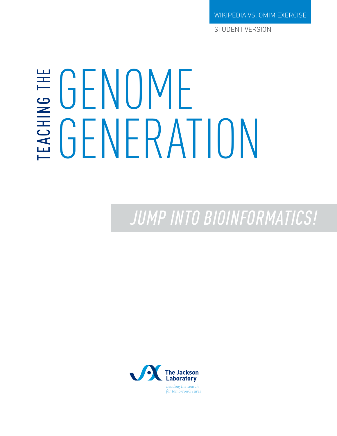WIKIPEDIA VS. OMIM EXERCISE

STUDENT VERSION

# GENOME TEACHING GENERATION THE

*JUMP INTO BIOINFORMATICS!*

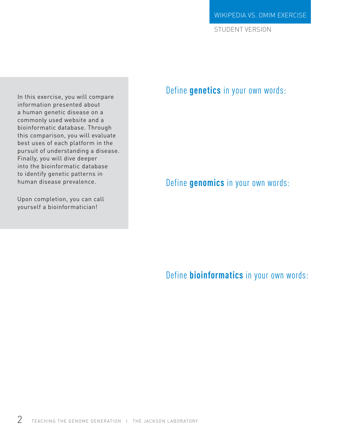STUDENT VERSION

In this exercise, you will compare information presented about a human genetic disease on a commonly used website and a bioinformatic database. Through this comparison, you will evaluate best uses of each platform in the pursuit of understanding a disease. Finally, you will dive deeper into the bioinformatic database to identify genetic patterns in human disease prevalence.

Upon completion, you can call yourself a bioinformatician!

### Define **genetics** in your own words:

Define **genomics** in your own words:

Define **bioinformatics** in your own words: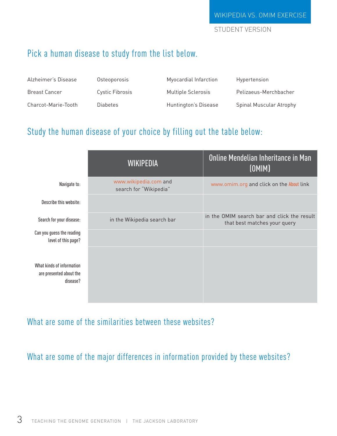STUDENT VERSION

## Pick a human disease to study from the list below.

| Alzheimer's Disease | Osteoporosis    | Myocardial Infarction | Hypertension            |
|---------------------|-----------------|-----------------------|-------------------------|
| Breast Cancer       | Cystic Fibrosis | Multiple Sclerosis    | Pelizaeus-Merchbacher   |
| Charcot-Marie-Tooth | Diabetes        | Huntington's Disease  | Spinal Muscular Atrophy |

# Study the human disease of your choice by filling out the table below:

|                                                                  | <b>WIKIPEDIA</b>                                | Online Mendelian Inheritance in Man<br>[OMIM]                               |
|------------------------------------------------------------------|-------------------------------------------------|-----------------------------------------------------------------------------|
| Navigate to:                                                     | www.wikipedia.com and<br>search for "Wikipedia" | www.omim.org and click on the About link                                    |
| Describe this website:                                           |                                                 |                                                                             |
| Search for your disease:                                         | in the Wikipedia search bar                     | in the OMIM search bar and click the result<br>that best matches your query |
| Can you guess the reading<br>level of this page?                 |                                                 |                                                                             |
| What kinds of information<br>are presented about the<br>disease? |                                                 |                                                                             |

What are some of the similarities between these websites?

What are some of the major differences in information provided by these websites?